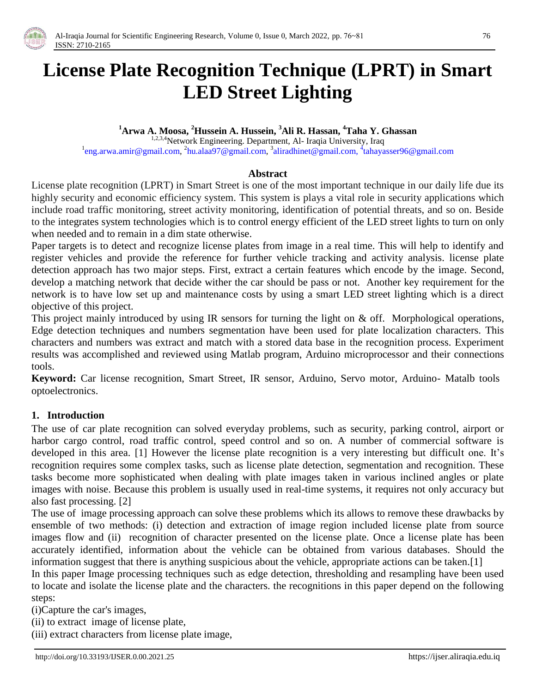

# **License Plate Recognition Technique (LPRT) in Smart LED Street Lighting**

# **<sup>1</sup>Arwa A. Moosa, <sup>2</sup>Hussein A. Hussein, <sup>3</sup>Ali R. Hassan, <sup>4</sup>Taha Y. Ghassan**

1,2,3,4Network Engineering. Department, Al- Iraqia University, Iraq <sup>1</sup>[eng.arwa.amir@gmail.com,](mailto:eng.arwa.amir@gmail.com) <sup>2</sup>[hu.alaa97@gmail.com,](mailto:hu.alaa97@gmail.com) <sup>3</sup>[aliradhinet@gmail.com,](mailto:aliradhinet@gmail.com) <sup>4</sup>[tahayasser96@gmail.com](mailto:tahayasser96@gmail.com)

#### **Abstract**

License plate recognition (LPRT) in Smart Street is one of the most important technique in our daily life due its highly security and economic efficiency system. This system is plays a vital role in security applications which include road traffic monitoring, street activity monitoring, identification of potential threats, and so on. Beside to the integrates system technologies which is to control energy efficient of the LED street lights to turn on only when needed and to remain in a dim state otherwise.

Paper targets is to detect and recognize license plates from image in a real time. This will help to identify and register vehicles and provide the reference for further vehicle tracking and activity analysis. license plate detection approach has two major steps. First, extract a certain features which encode by the image. Second, develop a matching network that decide wither the car should be pass or not. Another key requirement for the network is to have low set up and maintenance costs by using a smart LED street lighting which is a direct objective of this project.

This project mainly introduced by using IR sensors for turning the light on & off. Morphological operations, Edge detection techniques and numbers segmentation have been used for plate localization characters. This characters and numbers was extract and match with a stored data base in the recognition process. Experiment results was accomplished and reviewed using Matlab program, Arduino microprocessor and their connections tools.

**Keyword:** Car license recognition, Smart Street, IR sensor, Arduino, Servo motor, Arduino- Matalb tools optoelectronics.

### **1. Introduction**

The use of car plate recognition can solved everyday problems, such as security, parking control, airport or harbor cargo control, road traffic control, speed control and so on. A number of commercial software is developed in this area. [1] However the license plate recognition is a very interesting but difficult one. It's recognition requires some complex tasks, such as license plate detection, segmentation and recognition. These tasks become more sophisticated when dealing with plate images taken in various inclined angles or plate images with noise. Because this problem is usually used in real-time systems, it requires not only accuracy but also fast processing. [2]

The use of image processing approach can solve these problems which its allows to remove these drawbacks by ensemble of two methods: (i) detection and extraction of image region included license plate from source images flow and (ii) recognition of character presented on the license plate. Once a license plate has been accurately identified, information about the vehicle can be obtained from various databases. Should the information suggest that there is anything suspicious about the vehicle, appropriate actions can be taken.[1]

In this paper Image processing techniques such as edge detection, thresholding and resampling have been used to locate and isolate the license plate and the characters. the recognitions in this paper depend on the following steps:

(i)Capture the car's images,

(ii) to extract image of license plate,

(iii) extract characters from license plate image,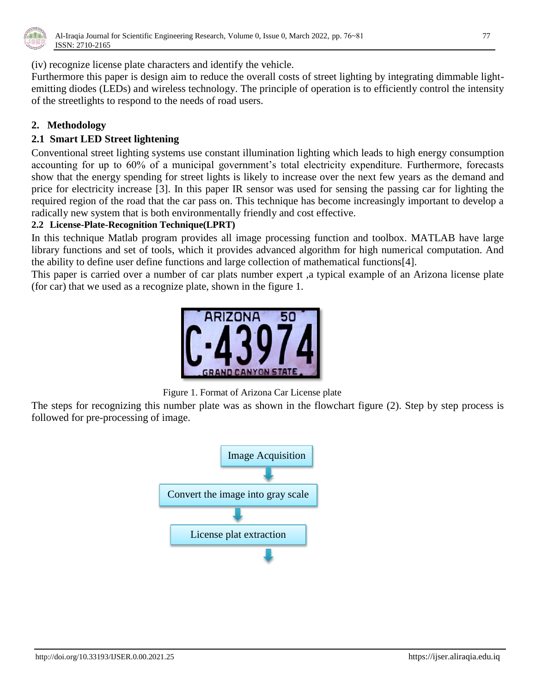

(iv) recognize license plate characters and identify the vehicle.

Furthermore this paper is design aim to reduce the overall costs of street lighting by integrating dimmable lightemitting diodes (LEDs) and wireless technology. The principle of operation is to efficiently control the intensity of the streetlights to respond to the needs of road users.

## **2. Methodology**

# **2.1 Smart LED Street lightening**

Conventional street lighting systems use constant illumination lighting which leads to high energy consumption accounting for up to 60% of a municipal government's total electricity expenditure. Furthermore, forecasts show that the energy spending for street lights is likely to increase over the next few years as the demand and price for electricity increase [3]. In this paper IR sensor was used for sensing the passing car for lighting the required region of the road that the car pass on. This technique has become increasingly important to develop a radically new system that is both environmentally friendly and cost effective.

## **2.2 License-Plate-Recognition Technique(LPRT)**

In this technique Matlab program provides all image processing function and toolbox. MATLAB have large library functions and set of tools, which it provides advanced algorithm for high numerical computation. And the ability to define user define functions and large collection of mathematical functions[4].

This paper is carried over a number of car plats number expert ,a typical example of an Arizona license plate (for car) that we used as a recognize plate, shown in the figure 1.



Figure 1. Format of Arizona Car License plate

The steps for recognizing this number plate was as shown in the flowchart figure (2). Step by step process is followed for pre-processing of image.

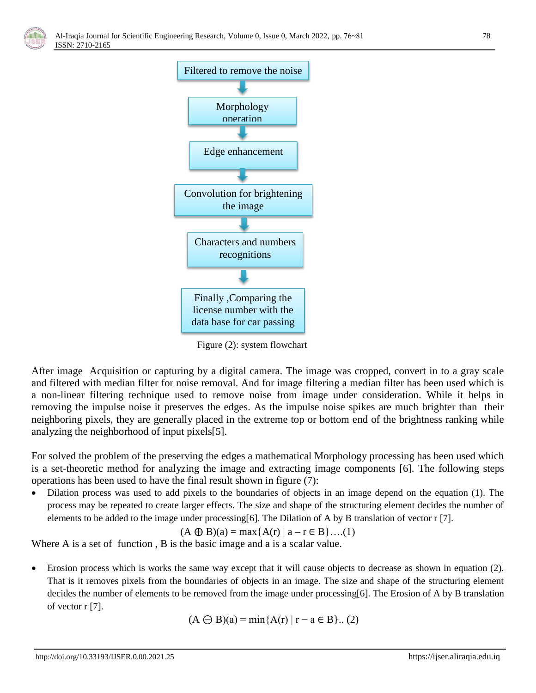



Figure (2): system flowchart

After image Acquisition or capturing by a digital camera. The image was cropped, convert in to a gray scale and filtered with median filter for noise removal. And for image filtering a median filter has been used which is a non-linear filtering technique used to remove noise from image under consideration. While it helps in removing the impulse noise it preserves the edges. As the impulse noise spikes are much brighter than their neighboring pixels, they are generally placed in the extreme top or bottom end of the brightness ranking while analyzing the neighborhood of input pixels[5].

For solved the problem of the preserving the edges a mathematical Morphology processing has been used which is a set-theoretic method for analyzing the image and extracting image components [6]. The following steps operations has been used to have the final result shown in figure (7):

 Dilation process was used to add pixels to the boundaries of objects in an image depend on the equation (1). The process may be repeated to create larger effects. The size and shape of the structuring element decides the number of elements to be added to the image under processing [6]. The Dilation of A by B translation of vector  $r$  [7].

$$
(A \oplus B)(a) = max\{A(r) | a - r \in B\}....(1)
$$

Where A is a set of function, B is the basic image and a is a scalar value.

 Erosion process which is works the same way except that it will cause objects to decrease as shown in equation (2). That is it removes pixels from the boundaries of objects in an image. The size and shape of the structuring element decides the number of elements to be removed from the image under processing[6]. The Erosion of A by B translation of vector r [7].

$$
(A \oplus B)(a) = min{A(r) | r - a \in B}...(2)
$$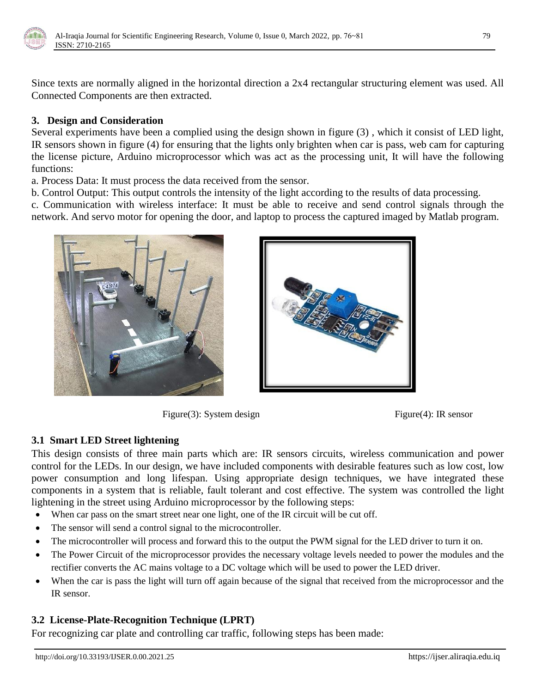

Since texts are normally aligned in the horizontal direction a 2x4 rectangular structuring element was used. All Connected Components are then extracted.

## **3. Design and Consideration**

Several experiments have been a complied using the design shown in figure (3) , which it consist of LED light, IR sensors shown in figure (4) for ensuring that the lights only brighten when car is pass, web cam for capturing the license picture, Arduino microprocessor which was act as the processing unit, It will have the following functions:

a. Process Data: It must process the data received from the sensor.

b. Control Output: This output controls the intensity of the light according to the results of data processing.

c. Communication with wireless interface: It must be able to receive and send control signals through the network. And servo motor for opening the door, and laptop to process the captured imaged by Matlab program.





Figure(3): System design Figure(4): IR sensor



# **3.1 Smart LED Street lightening**

This design consists of three main parts which are: IR sensors circuits, wireless communication and power control for the LEDs. In our design, we have included components with desirable features such as low cost, low power consumption and long lifespan. Using appropriate design techniques, we have integrated these components in a system that is reliable, fault tolerant and cost effective. The system was controlled the light lightening in the street using Arduino microprocessor by the following steps:

- When car pass on the smart street near one light, one of the IR circuit will be cut off.
- The sensor will send a control signal to the microcontroller.
- The microcontroller will process and forward this to the output the PWM signal for the LED driver to turn it on.
- The Power Circuit of the microprocessor provides the necessary voltage levels needed to power the modules and the rectifier converts the AC mains voltage to a DC voltage which will be used to power the LED driver.
- When the car is pass the light will turn off again because of the signal that received from the microprocessor and the IR sensor.

# **3.2 License-Plate-Recognition Technique (LPRT)**

For recognizing car plate and controlling car traffic, following steps has been made: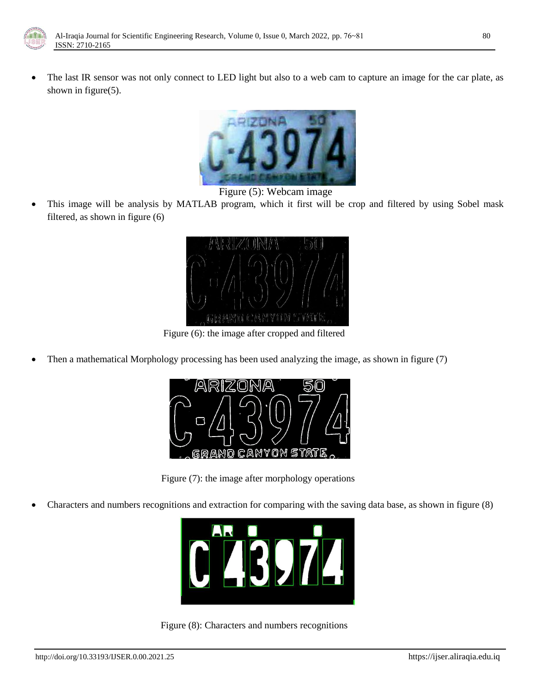

 The last IR sensor was not only connect to LED light but also to a web cam to capture an image for the car plate, as shown in figure(5).



Figure (5): Webcam image

 This image will be analysis by MATLAB program, which it first will be crop and filtered by using Sobel mask filtered, as shown in figure (6)



Figure (6): the image after cropped and filtered

Then a mathematical Morphology processing has been used analyzing the image, as shown in figure (7)



Figure (7): the image after morphology operations

Characters and numbers recognitions and extraction for comparing with the saving data base, as shown in figure (8)



Figure (8): Characters and numbers recognitions